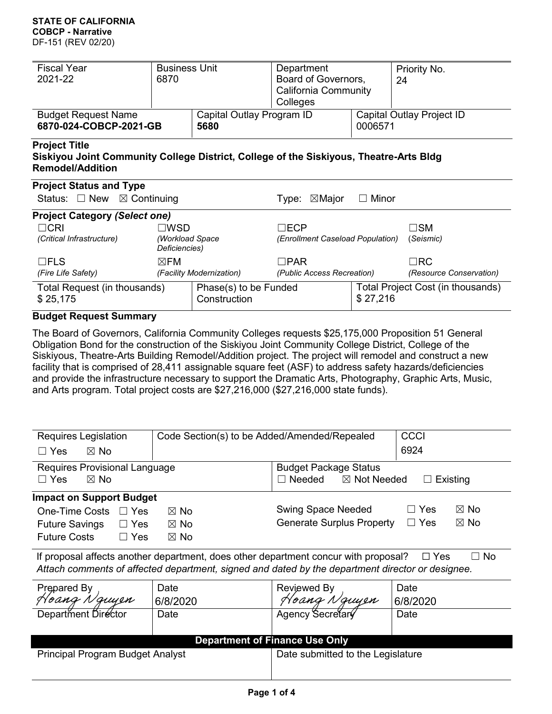#### **STATE OF CALIFORNIA COBCP - Narrative**

DF-151 (REV 02/20)

| <b>Fiscal Year</b>                                                                                                                        | <b>Business Unit</b>             |                           | Department                       |                                   | Priority No.            |  |  |
|-------------------------------------------------------------------------------------------------------------------------------------------|----------------------------------|---------------------------|----------------------------------|-----------------------------------|-------------------------|--|--|
| 2021-22                                                                                                                                   | 6870                             |                           | Board of Governors,              |                                   | 24                      |  |  |
|                                                                                                                                           |                                  |                           | California Community             |                                   |                         |  |  |
|                                                                                                                                           |                                  |                           | Colleges                         |                                   |                         |  |  |
| <b>Budget Request Name</b>                                                                                                                |                                  | Capital Outlay Program ID |                                  | Capital Outlay Project ID         |                         |  |  |
| 6870-024-COBCP-2021-GB                                                                                                                    |                                  | 5680                      |                                  | 0006571                           |                         |  |  |
| <b>Project Title</b><br>Siskiyou Joint Community College District, College of the Siskiyous, Theatre-Arts Bldg<br><b>Remodel/Addition</b> |                                  |                           |                                  |                                   |                         |  |  |
| <b>Project Status and Type</b>                                                                                                            |                                  |                           |                                  |                                   |                         |  |  |
| Status: $\Box$ New $\boxtimes$ Continuing                                                                                                 |                                  |                           | Type: $\boxtimes$ Major          | $\Box$ Minor                      |                         |  |  |
| <b>Project Category (Select one)</b>                                                                                                      |                                  |                           |                                  |                                   |                         |  |  |
| $\Box$ CRI                                                                                                                                | $\Box$ wsd                       |                           | $\square$ ECP                    |                                   | $\square$ SM            |  |  |
| (Critical Infrastructure)                                                                                                                 | (Workload Space<br>Deficiencies) |                           | (Enrollment Caseload Population) |                                   | (Seismic)               |  |  |
| $\Box$ FLS<br>$\boxtimes$ FM                                                                                                              |                                  |                           | $\Box$ PAR                       |                                   | $\Box$ RC               |  |  |
| (Fire Life Safety)                                                                                                                        |                                  | (Facility Modernization)  | (Public Access Recreation)       |                                   | (Resource Conservation) |  |  |
| Total Request (in thousands)                                                                                                              |                                  | Phase(s) to be Funded     |                                  | Total Project Cost (in thousands) |                         |  |  |

#### **Budget Request Summary**

\$ 25,175

The Board of Governors, California Community Colleges requests \$25,175,000 Proposition 51 General Obligation Bond for the construction of the Siskiyou Joint Community College District, College of the Siskiyous, Theatre-Arts Building Remodel/Addition project. The project will remodel and construct a new facility that is comprised of 28,411 assignable square feet (ASF) to address safety hazards/deficiencies and provide the infrastructure necessary to support the Dramatic Arts, Photography, Graphic Arts, Music, and Arts program. Total project costs are \$27,216,000 (\$27,216,000 state funds).

\$ 27,216

**Construction** 

| Requires Legislation                                                                                                                                                                                               | Code Section(s) to be Added/Amended/Repealed | <b>CCCI</b>                                         |                              |  |  |  |  |  |  |
|--------------------------------------------------------------------------------------------------------------------------------------------------------------------------------------------------------------------|----------------------------------------------|-----------------------------------------------------|------------------------------|--|--|--|--|--|--|
| $\Box$ Yes<br>$\boxtimes$ No                                                                                                                                                                                       |                                              | 6924                                                |                              |  |  |  |  |  |  |
| Requires Provisional Language                                                                                                                                                                                      |                                              | <b>Budget Package Status</b>                        |                              |  |  |  |  |  |  |
| $\Box$ Yes<br>$\boxtimes$ No                                                                                                                                                                                       |                                              | $\Box$ Needed<br>$\boxtimes$ Not Needed<br>Existing |                              |  |  |  |  |  |  |
| <b>Impact on Support Budget</b>                                                                                                                                                                                    |                                              |                                                     |                              |  |  |  |  |  |  |
| <b>One-Time Costs</b><br>$\Box$ Yes                                                                                                                                                                                | $\boxtimes$ No                               | <b>Swing Space Needed</b>                           | $\boxtimes$ No<br>∃ Yes      |  |  |  |  |  |  |
| $\Box$ Yes<br><b>Future Savings</b>                                                                                                                                                                                | $\boxtimes$ No                               | <b>Generate Surplus Property</b>                    | $\Box$ Yes<br>$\boxtimes$ No |  |  |  |  |  |  |
| <b>Future Costs</b><br>$\Box$ Yes                                                                                                                                                                                  | $\boxtimes$ No                               |                                                     |                              |  |  |  |  |  |  |
| If proposal affects another department, does other department concur with proposal?<br>$\Box$ No<br>$\Box$ Yes<br>Attach comments of affected department, signed and dated by the department director or designee. |                                              |                                                     |                              |  |  |  |  |  |  |
| Prepared By                                                                                                                                                                                                        | Date                                         | Reviewed By                                         | Date                         |  |  |  |  |  |  |

| igualcu Dy                              | Dalt     | 1500                              | Dalo     |  |  |  |  |  |  |
|-----------------------------------------|----------|-----------------------------------|----------|--|--|--|--|--|--|
| Hoang Nguyen                            | 6/8/2020 | Hoang Nguyen                      | 6/8/2020 |  |  |  |  |  |  |
| Department Director                     | Date     | Agency Secretar                   | Date     |  |  |  |  |  |  |
|                                         |          |                                   |          |  |  |  |  |  |  |
| <b>Department of Finance Use Only</b>   |          |                                   |          |  |  |  |  |  |  |
| <b>Principal Program Budget Analyst</b> |          | Date submitted to the Legislature |          |  |  |  |  |  |  |
|                                         |          |                                   |          |  |  |  |  |  |  |
|                                         |          |                                   |          |  |  |  |  |  |  |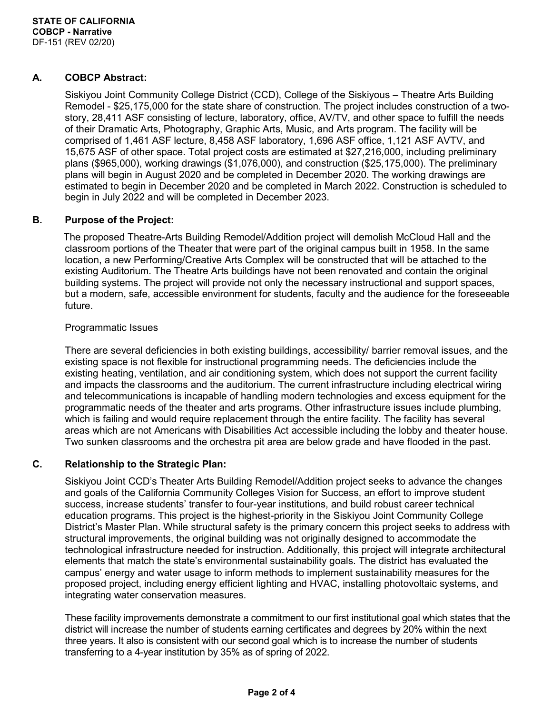#### **A. COBCP Abstract:**

Siskiyou Joint Community College District (CCD), College of the Siskiyous – Theatre Arts Building Remodel - \$25,175,000 for the state share of construction. The project includes construction of a twostory, 28,411 ASF consisting of lecture, laboratory, office, AV/TV, and other space to fulfill the needs of their Dramatic Arts, Photography, Graphic Arts, Music, and Arts program. The facility will be comprised of 1,461 ASF lecture, 8,458 ASF laboratory, 1,696 ASF office, 1,121 ASF AVTV, and 15,675 ASF of other space. Total project costs are estimated at \$27,216,000, including preliminary plans (\$965,000), working drawings (\$1,076,000), and construction (\$25,175,000). The preliminary plans will begin in August 2020 and be completed in December 2020. The working drawings are estimated to begin in December 2020 and be completed in March 2022. Construction is scheduled to begin in July 2022 and will be completed in December 2023.

#### **B. Purpose of the Project:**

The proposed Theatre-Arts Building Remodel/Addition project will demolish McCloud Hall and the classroom portions of the Theater that were part of the original campus built in 1958. In the same location, a new Performing/Creative Arts Complex will be constructed that will be attached to the existing Auditorium. The Theatre Arts buildings have not been renovated and contain the original building systems. The project will provide not only the necessary instructional and support spaces, but a modern, safe, accessible environment for students, faculty and the audience for the foreseeable future.

#### Programmatic Issues

There are several deficiencies in both existing buildings, accessibility/ barrier removal issues, and the existing space is not flexible for instructional programming needs. The deficiencies include the existing heating, ventilation, and air conditioning system, which does not support the current facility and impacts the classrooms and the auditorium. The current infrastructure including electrical wiring and telecommunications is incapable of handling modern technologies and excess equipment for the programmatic needs of the theater and arts programs. Other infrastructure issues include plumbing, which is failing and would require replacement through the entire facility. The facility has several areas which are not Americans with Disabilities Act accessible including the lobby and theater house. Two sunken classrooms and the orchestra pit area are below grade and have flooded in the past.

#### **C. Relationship to the Strategic Plan:**

Siskiyou Joint CCD's Theater Arts Building Remodel/Addition project seeks to advance the changes and goals of the California Community Colleges Vision for Success, an effort to improve student success, increase students' transfer to four-year institutions, and build robust career technical education programs. This project is the highest-priority in the Siskiyou Joint Community College District's Master Plan. While structural safety is the primary concern this project seeks to address with structural improvements, the original building was not originally designed to accommodate the technological infrastructure needed for instruction. Additionally, this project will integrate architectural elements that match the state's environmental sustainability goals. The district has evaluated the campus' energy and water usage to inform methods to implement sustainability measures for the proposed project, including energy efficient lighting and HVAC, installing photovoltaic systems, and integrating water conservation measures.

These facility improvements demonstrate a commitment to our first institutional goal which states that the district will increase the number of students earning certificates and degrees by 20% within the next three years. It also is consistent with our second goal which is to increase the number of students transferring to a 4-year institution by 35% as of spring of 2022.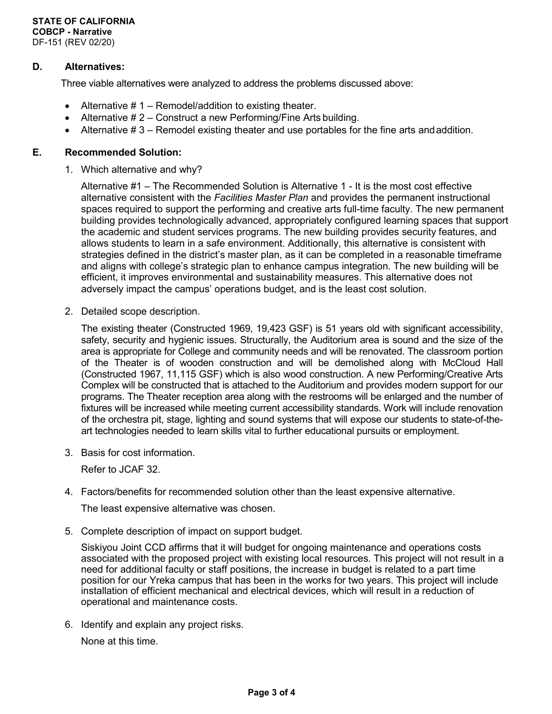#### **D. Alternatives:**

Three viable alternatives were analyzed to address the problems discussed above:

- Alternative  $# 1 -$  Remodel/addition to existing theater.
- Alternative # 2 Construct a new Performing/Fine Arts building.
- Alternative  $# 3$  Remodel existing theater and use portables for the fine arts and addition.

#### **E. Recommended Solution:**

1. Which alternative and why?

Alternative #1 – The Recommended Solution is Alternative 1 - It is the most cost effective alternative consistent with the *Facilities Master Plan* and provides the permanent instructional spaces required to support the performing and creative arts full-time faculty. The new permanent building provides technologically advanced, appropriately configured learning spaces that support the academic and student services programs. The new building provides security features, and allows students to learn in a safe environment. Additionally, this alternative is consistent with strategies defined in the district's master plan, as it can be completed in a reasonable timeframe and aligns with college's strategic plan to enhance campus integration. The new building will be efficient, it improves environmental and sustainability measures. This alternative does not adversely impact the campus' operations budget, and is the least cost solution.

2. Detailed scope description.

The existing theater (Constructed 1969, 19,423 GSF) is 51 years old with significant accessibility, safety, security and hygienic issues. Structurally, the Auditorium area is sound and the size of the area is appropriate for College and community needs and will be renovated. The classroom portion of the Theater is of wooden construction and will be demolished along with McCloud Hall (Constructed 1967, 11,115 GSF) which is also wood construction. A new Performing/Creative Arts Complex will be constructed that is attached to the Auditorium and provides modern support for our programs. The Theater reception area along with the restrooms will be enlarged and the number of fixtures will be increased while meeting current accessibility standards. Work will include renovation of the orchestra pit, stage, lighting and sound systems that will expose our students to state-of-theart technologies needed to learn skills vital to further educational pursuits or employment.

3. Basis for cost information.

Refer to JCAF 32.

4. Factors/benefits for recommended solution other than the least expensive alternative.

The least expensive alternative was chosen.

5. Complete description of impact on support budget.

Siskiyou Joint CCD affirms that it will budget for ongoing maintenance and operations costs associated with the proposed project with existing local resources. This project will not result in a need for additional faculty or staff positions, the increase in budget is related to a part time position for our Yreka campus that has been in the works for two years. This project will include installation of efficient mechanical and electrical devices, which will result in a reduction of operational and maintenance costs.

6. Identify and explain any project risks.

None at this time.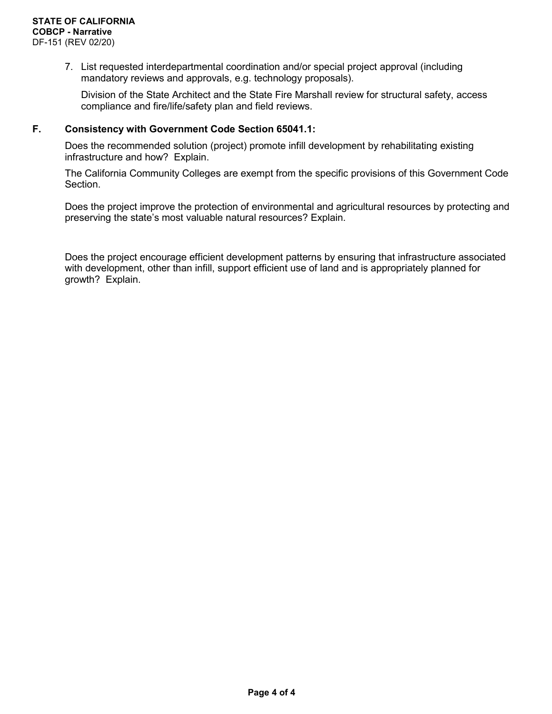7. List requested interdepartmental coordination and/or special project approval (including mandatory reviews and approvals, e.g. technology proposals).

Division of the State Architect and the State Fire Marshall review for structural safety, access compliance and fire/life/safety plan and field reviews.

#### **F. Consistency with Government Code Section 65041.1:**

Does the recommended solution (project) promote infill development by rehabilitating existing infrastructure and how? Explain.

The California Community Colleges are exempt from the specific provisions of this Government Code Section.

Does the project improve the protection of environmental and agricultural resources by protecting and preserving the state's most valuable natural resources? Explain.

Does the project encourage efficient development patterns by ensuring that infrastructure associated with development, other than infill, support efficient use of land and is appropriately planned for growth? Explain.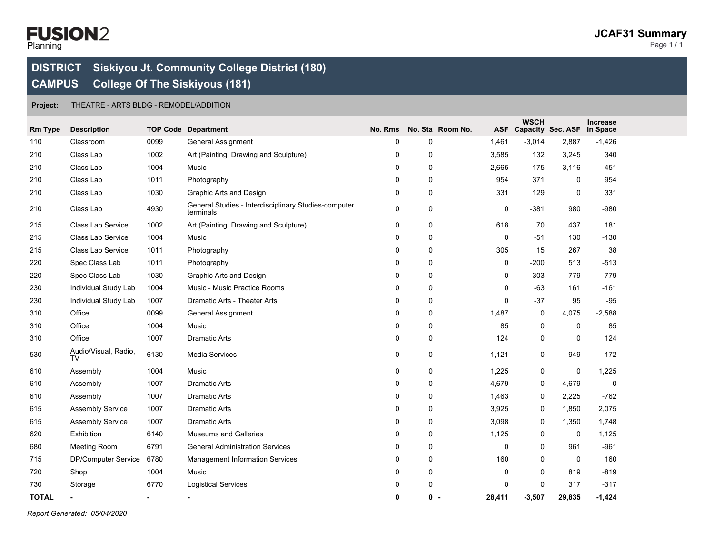## Planning Page 1 / 1

### **DISTRICT Siskiyou Jt. Community College District (180) CAMPUS College Of The Siskiyous (181)**

**Project:** THEATRE - ARTS BLDG - REMODEL/ADDITION

| <b>Rm Type</b> | <b>Description</b>         |                | <b>TOP Code Department</b>                                        | No. Rms |          | No. Sta Room No. | <b>WSCH</b> | ASF Capacity Sec. ASF | Increase<br>In Space |  |
|----------------|----------------------------|----------------|-------------------------------------------------------------------|---------|----------|------------------|-------------|-----------------------|----------------------|--|
| 110            | Classroom                  | 0099           | <b>General Assignment</b>                                         | 0       | $\Omega$ | 1,461            | $-3,014$    | 2,887                 | $-1,426$             |  |
| 210            | Class Lab                  | 1002           | Art (Painting, Drawing and Sculpture)                             | 0       | $\Omega$ | 3,585            | 132         | 3,245                 | 340                  |  |
| 210            | Class Lab                  | 1004           | Music                                                             | 0       | $\Omega$ | 2,665            | $-175$      | 3,116                 | $-451$               |  |
| 210            | Class Lab                  | 1011           | Photography                                                       | 0       | 0        | 954              | 371         | $\mathbf 0$           | 954                  |  |
| 210            | Class Lab                  | 1030           | Graphic Arts and Design                                           | 0       | 0        | 331              | 129         | 0                     | 331                  |  |
| 210            | Class Lab                  | 4930           | General Studies - Interdisciplinary Studies-computer<br>terminals | 0       | 0        | 0                | $-381$      | 980                   | $-980$               |  |
| 215            | Class Lab Service          | 1002           | Art (Painting, Drawing and Sculpture)                             | 0       | 0        | 618              | 70          | 437                   | 181                  |  |
| 215            | Class Lab Service          | 1004           | Music                                                             | 0       | 0        | 0                | $-51$       | 130                   | $-130$               |  |
| 215            | Class Lab Service          | 1011           | Photography                                                       | 0       | 0        | 305              | 15          | 267                   | 38                   |  |
| 220            | Spec Class Lab             | 1011           | Photography                                                       | 0       | 0        | 0                | $-200$      | 513                   | $-513$               |  |
| 220            | Spec Class Lab             | 1030           | Graphic Arts and Design                                           | 0       | 0        | 0                | $-303$      | 779                   | $-779$               |  |
| 230            | Individual Study Lab       | 1004           | Music - Music Practice Rooms                                      | 0       | 0        | $\mathbf 0$      | -63         | 161                   | $-161$               |  |
| 230            | Individual Study Lab       | 1007           | Dramatic Arts - Theater Arts                                      | 0       | 0        | $\Omega$         | $-37$       | 95                    | $-95$                |  |
| 310            | Office                     | 0099           | <b>General Assignment</b>                                         | 0       | 0        | 1,487            | $\mathbf 0$ | 4,075                 | $-2,588$             |  |
| 310            | Office                     | 1004           | Music                                                             | 0       | 0        | 85               | $\mathbf 0$ | 0                     | 85                   |  |
| 310            | Office                     | 1007           | <b>Dramatic Arts</b>                                              | 0       | 0        | 124              | 0           | 0                     | 124                  |  |
| 530            | Audio/Visual, Radio,<br>TV | 6130           | Media Services                                                    | 0       | 0        | 1,121            | 0           | 949                   | 172                  |  |
| 610            | Assembly                   | 1004           | Music                                                             | 0       | 0        | 1,225            | 0           | 0                     | 1,225                |  |
| 610            | Assembly                   | 1007           | <b>Dramatic Arts</b>                                              | 0       | 0        | 4,679            | 0           | 4,679                 | $\mathbf 0$          |  |
| 610            | Assembly                   | 1007           | <b>Dramatic Arts</b>                                              | 0       | 0        | 1,463            | 0           | 2,225                 | $-762$               |  |
| 615            | <b>Assembly Service</b>    | 1007           | <b>Dramatic Arts</b>                                              | 0       | 0        | 3,925            | 0           | 1,850                 | 2,075                |  |
| 615            | <b>Assembly Service</b>    | 1007           | <b>Dramatic Arts</b>                                              | 0       | 0        | 3,098            | 0           | 1,350                 | 1,748                |  |
| 620            | Exhibition                 | 6140           | Museums and Galleries                                             | 0       | 0        | 1,125            | 0           | 0                     | 1,125                |  |
| 680            | <b>Meeting Room</b>        | 6791           | <b>General Administration Services</b>                            | 0       | 0        | $\mathbf 0$      | 0           | 961                   | $-961$               |  |
| 715            | DP/Computer Service        | 6780           | Management Information Services                                   | 0       | 0        | 160              | 0           | 0                     | 160                  |  |
| 720            | Shop                       | 1004           | Music                                                             | 0       | 0        | 0                | 0           | 819                   | $-819$               |  |
| 730            | Storage                    | 6770           | <b>Logistical Services</b>                                        | 0       | 0        | $\Omega$         | $\Omega$    | 317                   | $-317$               |  |
| <b>TOTAL</b>   | $\blacksquare$             | $\blacksquare$ |                                                                   | 0       | 0 -      | 28,411           | $-3,507$    | 29,835                | $-1,424$             |  |

*Report Generated: 05/04/2020*